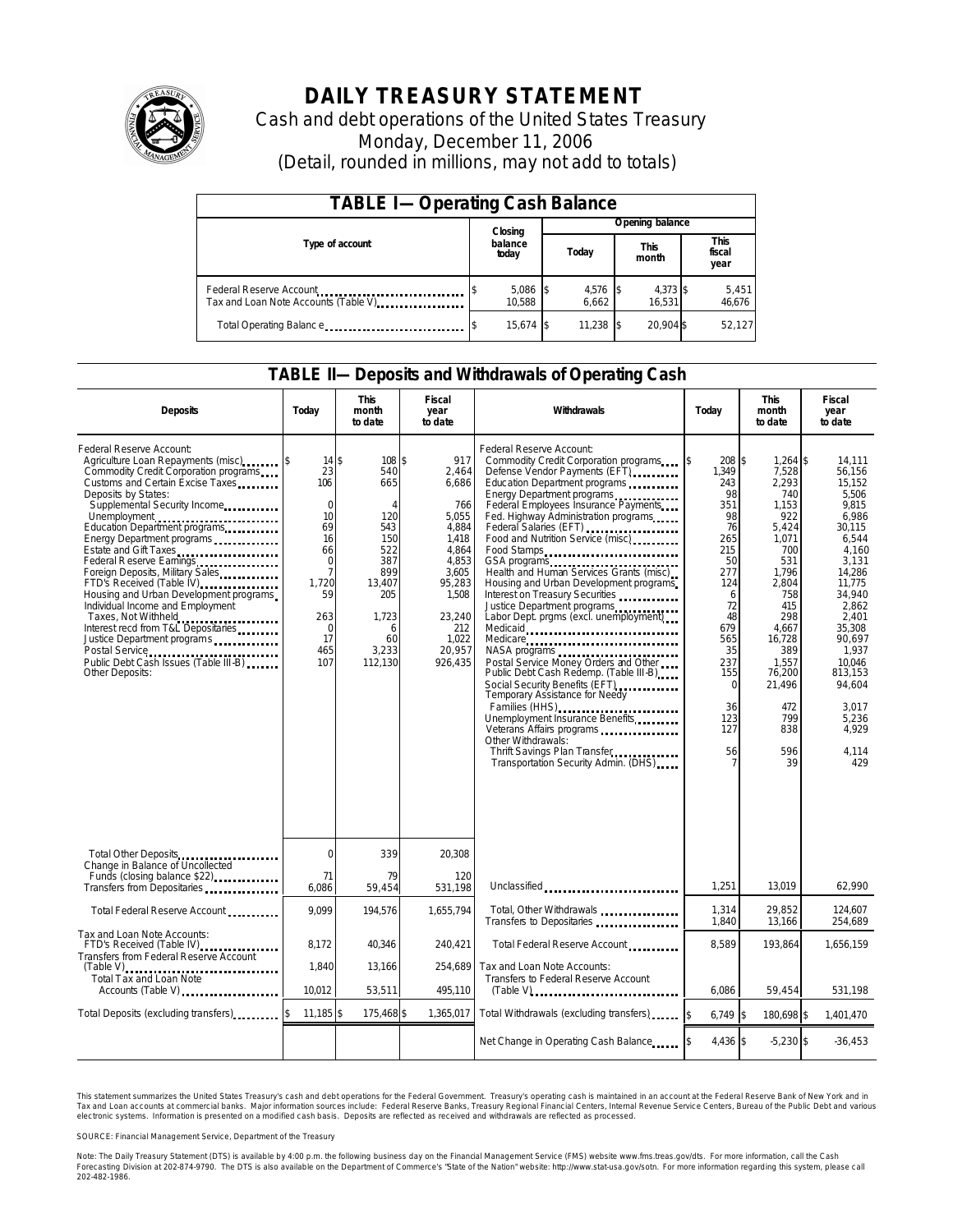

## **DAILY TREASURY STATEMENT**

Cash and debt operations of the United States Treasury Monday, December 11, 2006 (Detail, rounded in millions, may not add to totals)

| <b>TABLE I-Operating Cash Balance</b>                            |                  |                      |  |                 |  |                    |  |                               |  |  |
|------------------------------------------------------------------|------------------|----------------------|--|-----------------|--|--------------------|--|-------------------------------|--|--|
|                                                                  |                  | Closing              |  | Opening balance |  |                    |  |                               |  |  |
| Type of account                                                  | balance<br>today |                      |  | Today           |  | This<br>month      |  | <b>This</b><br>fiscal<br>year |  |  |
| Federal Reserve Account<br>Tax and Loan Note Accounts (Table V). |                  | $5,086$ \$<br>10.588 |  | 4,576<br>6.662  |  | 4,373 \$<br>16.531 |  | 5,451<br>46,676               |  |  |
| Total Operating Balance                                          |                  | 15.674 \$            |  | 11.238          |  | 20.904 \$          |  | 52.127                        |  |  |

#### **TABLE II—Deposits and Withdrawals of Operating Cash**

| <b>Deposits</b>                                                                                                                                                                                                                                                                                                                                                                                                                                                                                                                                                                                                                                                                  | Today                                                                                                                                                 | <b>This</b><br>month<br>to date                                                                                                         | <b>Fiscal</b><br>year<br>to date                                                                                                                     | Withdrawals                                                                                                                                                                                                                                                                                                                                                                                                                                                                                                                                                                                                                                                                                                                                                                                                                                                                                       | Today                                                                                                                                                                         | <b>This</b><br>month<br>to date                                                                                                                                                                                | Fiscal<br>year<br>to date                                                                                                                                                                                                                               |
|----------------------------------------------------------------------------------------------------------------------------------------------------------------------------------------------------------------------------------------------------------------------------------------------------------------------------------------------------------------------------------------------------------------------------------------------------------------------------------------------------------------------------------------------------------------------------------------------------------------------------------------------------------------------------------|-------------------------------------------------------------------------------------------------------------------------------------------------------|-----------------------------------------------------------------------------------------------------------------------------------------|------------------------------------------------------------------------------------------------------------------------------------------------------|---------------------------------------------------------------------------------------------------------------------------------------------------------------------------------------------------------------------------------------------------------------------------------------------------------------------------------------------------------------------------------------------------------------------------------------------------------------------------------------------------------------------------------------------------------------------------------------------------------------------------------------------------------------------------------------------------------------------------------------------------------------------------------------------------------------------------------------------------------------------------------------------------|-------------------------------------------------------------------------------------------------------------------------------------------------------------------------------|----------------------------------------------------------------------------------------------------------------------------------------------------------------------------------------------------------------|---------------------------------------------------------------------------------------------------------------------------------------------------------------------------------------------------------------------------------------------------------|
| Federal Reserve Account:<br>Agriculture Loan Repayments (misc)<br>Commodity Credit Corporation programs<br>Customs and Certain Excise Taxes<br>Deposits by States:<br>Supplemental Security Income<br>Unemployment<br>Education Department programs<br>Energy Department programs<br>Estate and Gift Taxes<br>Federal Reserve Earnings<br>Foreign Deposits, Military Sales<br>FTD's Received (Table IV) <b>FTD</b> 's Received (Table IV)<br>Housing and Urban Development programs<br>Individual Income and Employment<br>Taxes, Not Withheld<br>Interest recd from T&L Depositaries<br>Justice Department programs<br>Public Debt Cash Issues (Table III-B)<br>Other Deposits: | $14$ \$<br>23<br>106<br>$\mathbf 0$<br>10<br>69<br>16<br>66<br>$\mathbf 0$<br>$\overline{7}$<br>1.720<br>59<br>263<br>$\mathbf 0$<br>17<br>465<br>107 | 108S<br>540<br>665<br>$\overline{4}$<br>120<br>543<br>150<br>522<br>387<br>899<br>13.407<br>205<br>1,723<br>6<br>60<br>3,233<br>112.130 | 917<br>2,464<br>6,686<br>766<br>5,055<br>4,884<br>1,418<br>4,864<br>4,853<br>3.605<br>95,283<br>1,508<br>23,240<br>212<br>1,022<br>20,957<br>926,435 | Federal Reserve Account:<br>Commodity Credit Corporation programs \ \ \ \ \<br>Defense Vendor Payments (EFT)<br>Education Department programs<br>Energy Department programs<br>Federal Employees Insurance Payments<br>Fed. Highway Administration programs<br>Federal Salaries (EFT)<br>Food and Nutrition Service (misc)<br>Food Stamps<br>Health and Human Services Grants (misc)<br>Housing and Urban Development programs<br>Interest on Treasury Securities<br>Justice Department programs<br>Labor Dept. prgms (excl. unemployment)<br>Medicare<br>Postal Service Money Orders and Other<br>Public Debt Cash Redemp. (Table III-B)<br>Social Security Benefits (EFT)<br><br>Temporary Assistance for Needy<br>Families (HHS)<br>Unemployment Insurance Benefits<br>Veterans Affairs programs<br>Other Withdrawals:<br>Thrift Savings Plan Transfer<br>Transportation Security Admin. (DHS) | 208 \$<br>1,349<br>243<br>98<br>351<br>98<br>76<br>265<br>215<br>50<br>277<br>124<br>6<br>72<br>48<br>679<br>565<br>35<br>237<br>155<br>$\mathbf 0$<br>36<br>123<br>127<br>56 | 1,264<br>7,528<br>2,293<br>740<br>1,153<br>922<br>5,424<br>1,071<br>700<br>531<br>1.796<br>2,804<br>758<br>415<br>298<br>4,667<br>16,728<br>389<br>1.557<br>76,200<br>21.496<br>472<br>799<br>838<br>596<br>39 | \$<br>14.111<br>56.156<br>15,152<br>5,506<br>9.815<br>6.986<br>30.115<br>6,544<br>4.160<br>3,131<br>14.286<br>11.775<br>34,940<br>2.862<br>2,401<br>35,308<br>90.697<br>1.937<br>10.046<br>813.153<br>94.604<br>3.017<br>5,236<br>4,929<br>4.114<br>429 |
| Total Other Deposits<br>                                                                                                                                                                                                                                                                                                                                                                                                                                                                                                                                                                                                                                                         | $\mathbf 0$                                                                                                                                           | 339                                                                                                                                     | 20,308                                                                                                                                               |                                                                                                                                                                                                                                                                                                                                                                                                                                                                                                                                                                                                                                                                                                                                                                                                                                                                                                   |                                                                                                                                                                               |                                                                                                                                                                                                                |                                                                                                                                                                                                                                                         |
| Change in Balance of Uncollected<br>Funds (closing balance \$22)<br>Transfers from Depositaries                                                                                                                                                                                                                                                                                                                                                                                                                                                                                                                                                                                  | 71<br>6,086                                                                                                                                           | 79<br>59,454                                                                                                                            | 120<br>531,198                                                                                                                                       | Unclassified                                                                                                                                                                                                                                                                                                                                                                                                                                                                                                                                                                                                                                                                                                                                                                                                                                                                                      | 1,251                                                                                                                                                                         | 13,019                                                                                                                                                                                                         | 62,990                                                                                                                                                                                                                                                  |
| Total Federal Reserve Account                                                                                                                                                                                                                                                                                                                                                                                                                                                                                                                                                                                                                                                    | 9.099                                                                                                                                                 | 194,576                                                                                                                                 | 1,655,794                                                                                                                                            | Total, Other Withdrawals<br>Transfers to Depositaries                                                                                                                                                                                                                                                                                                                                                                                                                                                                                                                                                                                                                                                                                                                                                                                                                                             | 1.314<br>1.840                                                                                                                                                                | 29.852<br>13.166                                                                                                                                                                                               | 124.607<br>254.689                                                                                                                                                                                                                                      |
| Tax and Loan Note Accounts:<br>FTD's Received (Table IV)<br><br>Transfers from Federal Reserve Account                                                                                                                                                                                                                                                                                                                                                                                                                                                                                                                                                                           | 8,172                                                                                                                                                 | 40,346                                                                                                                                  | 240,421                                                                                                                                              | Total Federal Reserve Account                                                                                                                                                                                                                                                                                                                                                                                                                                                                                                                                                                                                                                                                                                                                                                                                                                                                     | 8.589                                                                                                                                                                         | 193,864                                                                                                                                                                                                        | 1,656,159                                                                                                                                                                                                                                               |
| $(Table V)$<br>Total Tax and Loan Note<br>Accounts (Table V)                                                                                                                                                                                                                                                                                                                                                                                                                                                                                                                                                                                                                     | 1.840<br>10,012                                                                                                                                       | 13.166<br>53,511                                                                                                                        | 254.689<br>495,110                                                                                                                                   | Tax and Loan Note Accounts:<br>Transfers to Federal Reserve Account                                                                                                                                                                                                                                                                                                                                                                                                                                                                                                                                                                                                                                                                                                                                                                                                                               | 6,086                                                                                                                                                                         | 59,454                                                                                                                                                                                                         | 531,198                                                                                                                                                                                                                                                 |
| Total Deposits (excluding transfers)                                                                                                                                                                                                                                                                                                                                                                                                                                                                                                                                                                                                                                             | 11,185 \$                                                                                                                                             | 175,468 \$                                                                                                                              | 1,365,017                                                                                                                                            | Total Withdrawals (excluding transfers)                                                                                                                                                                                                                                                                                                                                                                                                                                                                                                                                                                                                                                                                                                                                                                                                                                                           | $6,749$ \$                                                                                                                                                                    | 180,698 \$                                                                                                                                                                                                     | 1,401,470                                                                                                                                                                                                                                               |
|                                                                                                                                                                                                                                                                                                                                                                                                                                                                                                                                                                                                                                                                                  |                                                                                                                                                       |                                                                                                                                         |                                                                                                                                                      | Net Change in Operating Cash Balance                                                                                                                                                                                                                                                                                                                                                                                                                                                                                                                                                                                                                                                                                                                                                                                                                                                              | 4.436 \$                                                                                                                                                                      | $-5,230$ \$                                                                                                                                                                                                    | $-36,453$                                                                                                                                                                                                                                               |

This statement summarizes the United States Treasury's cash and debt operations for the Federal Government. Treasury's operating cash is maintained in an account at the Federal Reserve Bank of New York and in Tax and Loan accounts at commercial banks. Major information sources include: Federal Reserve Banks, Treasury Regional Financial Centers, Internal Revenue Service Centers, Bureau of the Public Debt and various<br>electronic s

SOURCE: Financial Management Service, Department of the Treasury

Note: The Daily Treasury Statement (DTS) is available by 4:00 p.m. the following business day on the Finandal Management Service (FMS) website www.fms.treas.gov/dts. For more information, call the Cash<br>Forecasting Division 'S) is available by 4:00 p.m. the following business day on the Finandal Management Service (FMS) website www.fms.treas.gov/dts. For more information, call the Cash<br>The DTS is also available on the Department of Commerce's